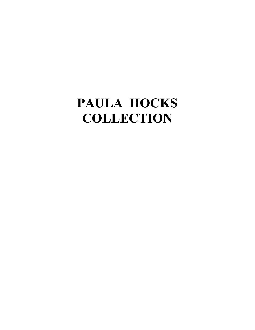# **PAULA HOCKS COLLECTION**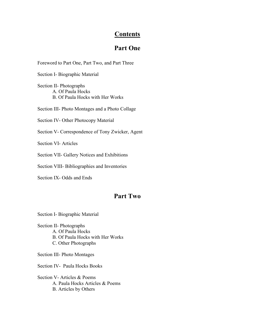#### **Contents**

#### **Part One**

Foreword to Part One, Part Two, and Part Three

Section I- Biographic Material

Section II- Photographs A. Of Paula Hocks B. Of Paula Hocks with Her Works

Section III- Photo Montages and a Photo Collage

Section IV- Other Photocopy Material

Section V- Correspondence of Tony Zwicker, Agent

Section VI- Articles

Section VII- Gallery Notices and Exhibitions

Section VIII- Bibliographies and Inventories

Section IX- Odds and Ends

#### **Part Two**

Section I- Biographic Material

Section II- Photographs A. Of Paula Hocks B. Of Paula Hocks with Her Works C. Other Photographs

Section III- Photo Montages

Section IV- Paula Hocks Books

Section V- Articles & Poems A. Paula Hocks Articles & Poems B. Articles by Others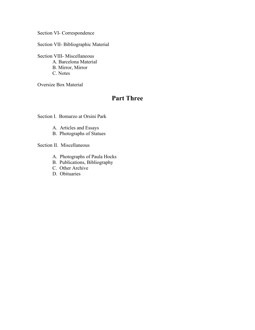Section VI- Correspondence

Section VII- Bibliographic Material

Section VIII- Miscellaneous A. Barcelona Material B. Mirror, Mirror C. Notes

Oversize Box Material

#### **Part Three**

Section I. Bomarzo at Orsini Park

- A. Articles and Essays
- B. Photographs of Statues

Section II. Miscellaneous

- A. Photographs of Paula Hocks
- B. Publications, Bibliography
- C. Other Archive
- D. Obituaries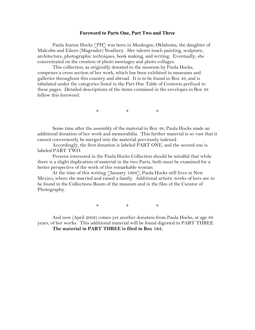#### **Foreword to Parts One, Part Two and Three**

Paula Jeanne Hocks [PH] was born in Muskogee, Oklahoma, the daughter of Malcolm and Eileen (Magruder) Neathery. Her talents touch painting, sculpture, architecture, photographic techniques, book making, and writing. Eventually, she concentrated on the creation of photo montages and photo collages.

This collection, as originally donated to the museum by Paula Hocks, comprises a cross section of her work, which has been exhibited in museums and galleries throughout this country and abroad. It is to be found in Box 48, and is tabulated under the categories listed in the Part One Table of Contents prefixed to these pages. Detailed descriptions of the items contained in the envelopes in Box 48 follow this foreword.

\* \* \*

Some time after the assembly of the material in Box 48, Paula Hocks made an additional donation of her work and memorabilia. This further material is so vast that it cannot conveniently be merged into the material previously indexed.

Accordingly, the first donation is labeled PART ONE, and the second one is labeled PART TWO.

Persons interested in the Paula Hocks Collection should be mindful that while there is a slight duplication of material in the two Parts, both must be examined for a better perspective of the work of this remarkable woman.

At the time of this writing [January 1998], Paula Hocks still lives in New Mexico, where she married and raised a family. Additional artistic works of hers are to be found in the Collections Room of the museum and in the files of the Curator of Photography.

\* \* \*

And now (April 2002) comes yet another donation from Paula Hocks, at age 86 years, of her works. This additional material will be found digested in PART THREE **The material in PART THREE is filed in Box 185.**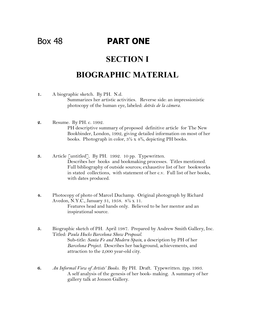### Box 48 **PART ONE**

#### **SECTION I**

### **BIOGRAPHIC MATERIAL**

- **1.** A biographic sketch. By PH. N.d. Summarizes her artistic activities. Reverse side: an impressionistic photocopy of the human eye, labeled: *detrás de la cámera.*
- **2.** Resume. By PH. c. 1992. PH descriptive summary of proposed definitive article for The New Bookbinder, London, 1992, giving detailed information on most of her books. Photograph in color,  $3\frac{1}{2} \times 4\frac{3}{4}$ , depicting PH books.
- **3.** Article [untitled]. By PH. 1992. 10 pp. Typewritten. Describes her books and bookmaking processes. Titles mentioned. Full bibliography of outside sources; exhaustive list of her bookworks in stated collections, with statement of her c.v. Full list of her books, with dates produced.
- **4.** Photocopy of photo of Marcel Duchamp. Original photograph by Richard Avedon, N.Y.C., January 31, 1958. 8½ x 11. Features head and hands only. Believed to be her mentor and an inspirational source.
- **5.** Biographic sketch of PH. April 1987. Prepared by Andrew Smith Gallery, Inc. Titled: *Paula Hocks Barcelona Show Proposal*. Sub-title: *Santa Fe and Modern Spain*, a description by PH of her *Barcelona Project.* Describes her background, achievements, and attraction to the 2,000 year-old city.
- **6.** *An Informal View of Artists' Books.* By PH. Draft. Typewritten. 2pp. 1993. A self analysis of the genesis of her book- making. A summary of her gallery talk at Jonson Gallery.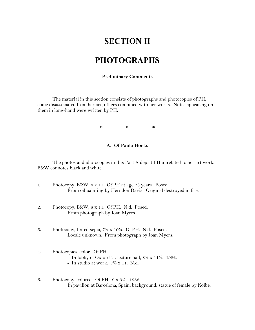#### **SECTION II**

#### **PHOTOGRAPHS**

#### **Preliminary Comments**

The material in this section consists of photographs and photocopies of PH, some disassociated from her art, others combined with her works. Notes appearing on them in long-hand were written by PH.

 $*$  \* \* \*

#### **A. Of Paula Hocks**

The photos and photocopies in this Part A depict PH unrelated to her art work. B&W connotes black and white.

- **1.** Photocopy, B&W, 8 x 11. Of PH at age 28 years. Posed. From oil painting by Herndon Davis. Original destroyed in fire.
- **2.** Photocopy, B&W, 8 x 11. Of PH. N.d. Posed. From photograph by Joan Myers.
- **3.** Photocopy, tinted sepia, 7½ x 10¼. Of PH. N.d. Posed. Locale unknown. From photograph by Joan Myers.

#### **4.** Photocopies, color. Of PH. - In lobby of Oxford U. lecture hall, 8½ x 11½. 1982. - In studio at work.  $7\frac{3}{4} \times 11$ . N.d.

**5.** Photocopy, colored. Of PH. 9 x 9½. 1986. In pavilion at Barcelona, Spain; background: statue of female by Kolbe.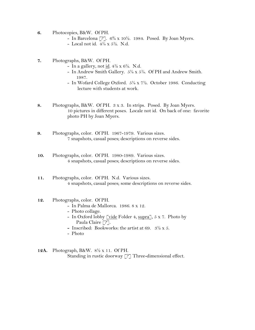- **6.** Photocopies, B&W. Of PH.
	- In Barcelona  $[$ ?].  $6\frac{3}{4}$  x 10½. 1984. Posed. By Joan Myers.
	- Local not id.  $4\frac{1}{4} \times 5\frac{1}{2}$ . N.d.
- **7.** Photographs, B&W. Of PH.
	- In a gallery, not id.  $4\frac{1}{2} \times 6\frac{1}{2}$ . N.d.
	- In Andrew Smith Gallery. 5¼ x 5¼. Of PH and Andrew Smith. 1987.
	- In Wofard College Oxford. 5¼ x 7½. October 1986. Conducting lecture with students at work.
- **8.** Photographs, B&W. Of PH. 3 x 3. In strips. Posed. By Joan Myers. 10 pictures in different poses. Locale not id. On back of one: favorite photo PH by Joan Myers.
- **9.** Photographs, color. Of PH. 1967-1979. Various sizes. 7 snapshots, casual poses; descriptions on reverse sides.
- **10.** Photographs, color. Of PH. 1980-1989. Various sizes. 4 snapshots, casual poses; descriptions on reverse sides.
- **11.** Photographs, color. Of PH. N.d. Various sizes. 4 snapshots, casual poses; some descriptions on reverse sides.

#### **12.** Photographs, color. Of PH.

- In Palma de Mallorca. 1986. 8 x 12.
- Photo collage.
- In Oxford lobby  $\boxed{\underline{\text{vide}}\ \text{Folder}\ 4, \underline{\text{supra}}]}$ , 5 x 7. Photo by Paula Claire [?].
- **-** Inscribed: Bookworks: the artist at 69. 3½ x 5.
- Photo
- **12A.** Photograph, B&W. 8½ x 11. Of PH. Standing in rustic doorway [?] Three-dimensional effect.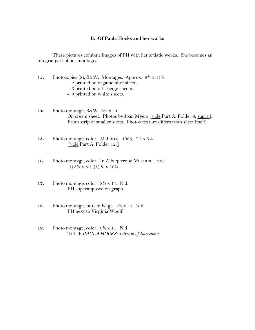#### **B. Of Paula Hocks and her works**

These pictures combine images of PH with her artistic works. She becomes an integral part of her montages.

- **13.** Photocopies (8), B&W. Montages. Approx. 8¾ x 11¾.
	- 2 printed on organic fibre sheets.
	- 3 printed on off beige sheets.
	- 3 printed on white sheets.

**14.** Photo montage, B&W. 8½ x 14. On cream sheet. Photos by Joan Myers [vide Part A, Folder 8, supra]. From strip of smaller shots. Photos texture differs from sheet itself.

- **15.** Photo montage, color. Mallorca. 1986. 7½ x 9¼. [vide Part A, Folder 12.]
- **16.** Photo montage, color. In Albuquerque Museum. 1985. (1)  $5\frac{1}{2}$  x  $8\frac{1}{2}$ ; (1) 8 x  $10\frac{3}{4}$ .
- **17.** Photo montage, color. 8½ x 11. N.d. PH superimposed on graph.
- **18.** Photo montage, tints of beige. 5¾ x 11. N.d. PH next to Virginia Woolf.
- **19.** Photo montage, color. 8½ x 11. N.d. Titled: *PAULA HOCKS: a dream of Barcelona.*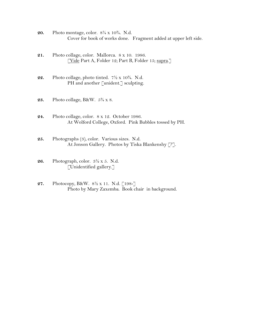- **20.** Photo montage, color. 8¼ x 10¾. N.d. Cover for book of works done. Fragment added at upper left side.
- **21.** Photo collage, color. Mallorca. 8 x 10. 1986. [Vide Part A, Folder 12; Part B, Folder 15; supra.]
- **22.** Photo collage, photo tinted. 7½ x 10¾. N.d. PH and another [unident.] sculpting.
- **23.** Photo collage, B&W. 5¾ x 8.
- **24.** Photo collage, color. 8 x 12. October 1986. At Wolford College, Oxford. Pink Bubbles tossed by PH.
- **25.** Photographs (3), color. Various sizes. N.d. At Jonson Gallery. Photos by Tiska Blankenshy [?].
- **26.** Photograph, color. 3½ x 5. N.d. [Unidentified gallery.]
- **27.** Photocopy, B&W. 8½ x 11. N.d. [198-] Photo by Mary Zaxemba. Book chair in background.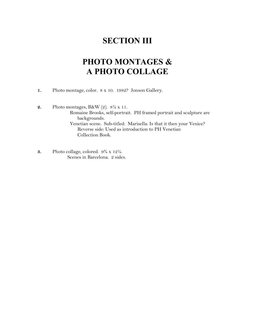# **SECTION III**

# **PHOTO MONTAGES & A PHOTO COLLAGE**

- **1.** Photo montage, color. 8 x 10. 1982? Jonson Gallery.
- **2.** Photo montages, B&W (2). 8½ x 11. Romaine Brooks, self-portrait. PH framed portrait and sculpture are backgrounds. Venetian scene. Sub-titled: Marisella: Is that it then your Venice? Reverse side: Used as introduction to PH Venetian Collection Book.
- **3.** Photo collage, colored. 9¾ x 12½. Scenes in Barcelona. 2 sides.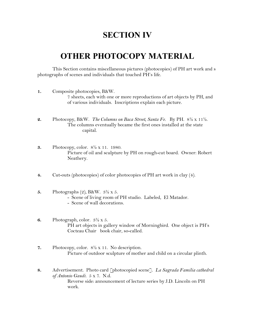### **SECTION IV**

### **OTHER PHOTOCOPY MATERIAL**

This Section contains miscellaneous pictures (photocopies) of PH art work and s photographs of scenes and individuals that touched PH's life.

- **1.** Composite photocopies, B&W. 7 sheets, each with one or more reproductions of art objects by PH, and of various individuals. Inscriptions explain each picture.
- **2.** Photocopy, B&W. *The Columns on Baca Street, Santa Fe.* By PH. 8½ x 11½. The columns eventually became the first ones installed at the state capital.
- **3.** Photocopy, color. 8½ x 11. 1980. Picture of oil and sculpture by PH on rough-cut board. Owner: Robert Neathery.
- **4.** Cut-outs (photocopies) of color photocopies of PH art work in clay (4).
- **5.** Photographs (2), B&W. 3½ x 5.
	- Scene of living room of PH studio. Labeled, El Matador.
	- Scene of wall decorations.
- **6.** Photograph, color. 3½ x 5. PH art objects in gallery window of Morningbird. One object is PH's Cocteau Chair book chair, so-called.
- **7.** Photocopy, color. 8½ x 11. No description. Picture of outdoor sculpture of mother and child on a circular plinth.
- **8.** Advertisement. Photo card [photocopied scene]. *La Sagrada Familia cathedral of Antonio Gaudi.* 5 x 7. N.d. Reverse side: announcement of lecture series by J.D. Lincoln on PH work.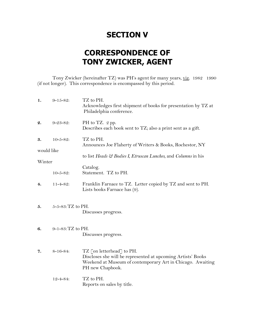### **SECTION V**

# **CORRESPONDENCE OF TONY ZWICKER, AGENT**

Tony Zwicker (hereinafter TZ) was PH's agent for many years, viz. 1982 1990 (if not longer). This correspondence is encompassed by this period.

| 1.         | $9 - 15 - 82$ :          | TZ to PH.<br>Acknowledges first shipment of books for presentation by TZ at<br>Philadelphia conference.                                                                     |
|------------|--------------------------|-----------------------------------------------------------------------------------------------------------------------------------------------------------------------------|
| 2.         | $9 - 23 - 82$ :          | PH to TZ. 2 pp.<br>Describes each book sent to TZ; also a print sent as a gift.                                                                                             |
| 3.         | $10 - 5 - 82$ :          | TZ to PH.<br>Announces Joe Flaherty of Writers & Books, Rochestor, NY                                                                                                       |
| would like |                          | to list Heads & Bodies I, Etruscan Lunches, and Columns in his                                                                                                              |
| Winter     |                          |                                                                                                                                                                             |
|            | $10 - 5 - 82$ :          | Catalog.<br>Statement. TZ to PH.                                                                                                                                            |
| 4.         | $11 - 4 - 82$ :          | Franklin Farnace to TZ. Letter copied by TZ and sent to PH.<br>Lists books Farnace has (9).                                                                                 |
| 5.         | $5 - 5 - 83$ : TZ to PH. | Discusses progress.                                                                                                                                                         |
| 6.         | 9-1-83: TZ to PH.        | Discusses progress.                                                                                                                                                         |
| 7.         | $8 - 16 - 84$ :          | TZ [on letterhead] to PH.<br>Discloses she will be represented at upcoming Artists' Books<br>Weekend at Museum of contemporary Art in Chicago. Awaiting<br>PH new Chapbook. |
|            | $12 - 4 - 84$ :          | TZ to PH.<br>Reports on sales by title.                                                                                                                                     |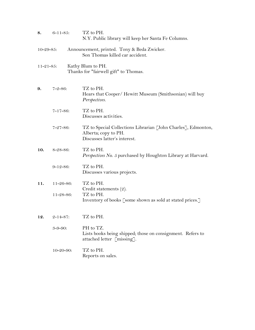| 8.               | $6 - 11 - 85$ :                      | TZ to PH.<br>N.Y. Public library will keep her Santa Fe Columns.                                                      |
|------------------|--------------------------------------|-----------------------------------------------------------------------------------------------------------------------|
| $10 - 29 - 85$ : |                                      | Announcement, printed. Tony & Beda Zwicker.<br>Son Thomas killed car accident.                                        |
| $11 - 21 - 85$ : |                                      | Kathy Blum to PH.<br>Thanks for "fairwell gift" to Thomas.                                                            |
| 9.               | $7 - 2 - 86$ :                       | TZ to PH.<br>Hears that Cooper/ Hewitt Museum (Smithsonian) will buy<br>Perspectives.                                 |
|                  | $7 - 17 - 86$ :                      | TZ to PH.<br>Discusses activities.                                                                                    |
|                  | $7 - 27 - 86$ :                      | TZ to Special Collections Librarian [John Charles], Edmonton,<br>Alberta; copy to PH.<br>Discusses latter's interest. |
| 10.              | 8-28-86:                             | TZ to PH.<br>Perspectives No. 5 purchased by Houghton Library at Harvard.                                             |
|                  | $9 - 12 - 86:$                       | TZ to PH.<br>Discusses various projects.                                                                              |
| 11.              | $11 - 26 - 86$ :<br>$11 - 28 - 86$ : | TZ to PH.<br>Credit statements (2).<br>TZ to PH.<br>Inventory of books [some shown as sold at stated prices.]         |
| 12.              | $2 - 14 - 87$ :                      | TZ to PH.                                                                                                             |
|                  | $3 - 9 - 90$ :                       | PH to TZ.<br>Lists books being shipped; those on consignment. Refers to<br>attached letter [missing].                 |
|                  | $10 - 20 - 90$ :                     | TZ to PH.<br>Reports on sales.                                                                                        |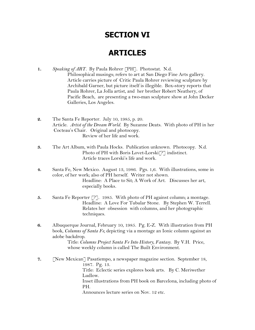### **SECTION VI**

# **ARTICLES**

- **1.** *Speaking of ART.* By Paula Rohrer [PH]. Photostat. N.d. Philosophical musings; refers to art at San Diego Fine Arts gallery. Article carries picture of Critic Paula Rohrer reviewing sculpture by Archibald Garner, but picture itself is illegible. Box-story reports that Paula Rohrer, La Jolla artist, and her brother Robert Neathery, of Pacific Beach, are presenting a two-man sculpture show at John Decker Galleries, Los Angeles.
- **2.** The Santa Fe Reporter. July 10, 1985, p. 20. Article. *Artist of the Dream World.* By Suzanne Deats. With photo of PH in her Cocteau's Chair. Original and photocopy. Review of her life and work.
- **3.** The Art Album, with Paula Hocks. Publication unknown. Photocopy. N.d. Photo of PH with Boris Lovet-Lorski<sup>[?]</sup> indistinct. Article traces Lorski's life and work.
- **4.** Santa Fe, New Mexico. August 13, 1986. Pgs. 1,6. With illustrations, some in color, of her work; also of PH herself. Writer not shown. Headline: A Place to Sit; A Work of Art. Discusses her art, especially books.
- **5.** Santa Fe Reporter [?]. 1985. With photo of PH against column; a montage. Headline: A Love For Tubular Stone. By Stephen W. Terrell. Relates her obsession with columns, and her photographic techniques.
- **6.** Albuquerque Journal, February 10, 1985. Pg. E-Z. With illustration from PH book, *Columns of Santa Fe,* depicting via a montage an Ionic column against an adobe backdrop.

Title: *Columns Project Santa Fe Into History, Fantasy.* By V.H. Price, whose weekly column is called The Built Environment.

**7.** [New Mexican] Pasatiempo, a newspaper magazine section. September 18, 1987. Pg. 13. Title: Eclectic series explores book arts. By C. Meriwether Ludlow. Inset illustrations from PH book on Barcelona, including photo of PH. Announces lecture series on Nov. 12 etc.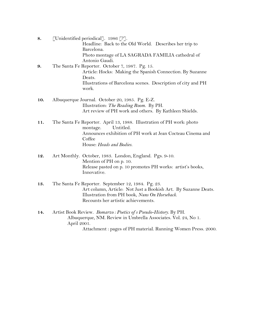- **8.** [Unidentified periodical]. 1986 [?]. Headline: Back to the Old World. Describes her trip to Barcelona. Photo montage of LA SAGRADA FAMILIA cathedral of Antonio Gaudi.
- **9.** The Santa Fe Reporter. October 7, 1987. Pg. 15. Article: Hocks: Making the Spanish Connection*.* By Suzanne Deats. Illustrations of Barcelona scenes. Description of city and PH work.
- **10.** Albuquerque Journal. October 20, 1985. Pg. E-Z. Illustration: *The Reading Room.* By PH. Art review of PH work and others. By Kathleen Shields.
- **11.** The Santa Fe Reporter. April 13, 1988. Illustration of PH work: photo montage. Untitled. Announces exhibition of PH work at Jean Cocteau Cinema and Coffee House: *Heads and Bodies.*
- **12.** Art Monthly. October, 1983. London, England. Pgs. 9-10. Mention of PH on p. 10. Release pasted on p. 10 promotes PH works: artist's books, Innovative.
- **13.** The Santa Fe Reporter. September 12, 1984. Pg. 23. Art column, Article: Not Just a Bookish Art. By Suzanne Deats. Illustration from PH book, *Nuns On Horseback*. Recounts her artistic achievements.
- **14.** Artist Book Review. *Bomarzo : Poetics of s Pseudo-History*. By PH. Albuquerque, NM. Review in Umbrella Associates. Vol. 24, No 1. April 2001.

Attachment : pages of PH material. Running Women Press. 2000.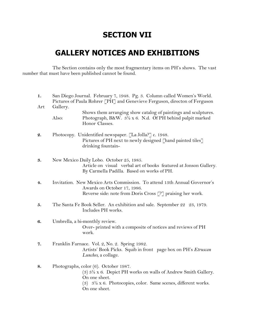### **SECTION VII**

# **GALLERY NOTICES AND EXHIBITIONS**

 The Section contains only the most fragmentary items on PH's shows. The vast number that must have been published cannot be found.

| 1.  | San Diego Journal. February 7, 1948. Pg. 3. Column called Women's World.<br>Pictures of Paula Rohrer [PH] and Genevieve Ferguson, directon of Ferguson                                                                                                   |
|-----|----------------------------------------------------------------------------------------------------------------------------------------------------------------------------------------------------------------------------------------------------------|
| Art | Gallery.<br>Shows them arranging show catalog of paintings and sculptures.<br>Also:<br>Photograph, B&W. $3\frac{1}{2} \times 6$ . N.d. Of PH behind pulpit marked<br>Honor Classes.                                                                      |
| 2.  | Photocopy. Unidentified newspaper. [La Jolla?] c. 1948.<br>Pictures of PH next to newly designed [hand painted tiles]<br>drinking fountain-                                                                                                              |
| 3.  | New Mexico Daily Lobo. October 25, 1985.<br>Article on visual verbal art of books featured at Jonson Gallery.<br>By Carmella Padilla. Based on works of PH.                                                                                              |
| 4.  | Invitation. New Mexico Arts Commission. To attend 13th Annual Governor's<br>Awards on October 17, 1986.<br>Reverse side: note from Doris Cross [?] praising her work.                                                                                    |
| 5.  | The Santa Fe Book Seller. An exhibition and sale. September 22 23, 1979.<br>Includes PH works.                                                                                                                                                           |
| 6.  | Umbrella, a bi-monthly review.<br>Over-printed with a composite of notices and reviews of PH<br>work.                                                                                                                                                    |
| 7.  | Franklin Furnace. Vol. 2, No. 2. Spring 1982.<br>Artists' Book Picks. Squib in front page box on PH's Etruscan<br>Lunches, a collage.                                                                                                                    |
| 8.  | Photographs, color (6). October 1987.<br>$(3)$ 3 <sup>1</sup> / <sub>2</sub> x 6. Depict PH works on walls of Andrew Smith Gallery.<br>On one sheet.<br>(3) $3\frac{1}{2} \times 6$ . Photocopies, color. Same scenes, different works.<br>On one sheet. |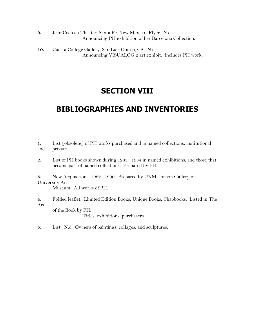- **9.** Jean Cocteau Theater, Santa Fe, New Mexico. Flyer. N.d. Announcing PH exhibition of her Barcelona Collection.
- **10.** Cuesta College Gallery, San Luis Obisco, CA. N.d. Announcing VISUALOG 2 art exhibit. Includes PH work.

#### **SECTION VIII**

# **BIBLIOGRAPHIES AND INVENTORIES**

**1.** List [obsolete] of PH works purchased and in named collections, institutional and private.

**2.** List of PH books shown during 1983 1984 in named exhibitions; and those that became part of named collections. Prepared by PH.

**3.** New Acquisitions, 1982 1990. Prepared by UNM, Jonson Gallery of University Art

Museum. All works of PH.

**4.** Folded leaflet. Limited Edition Books; Unique Books; Chapbooks. Listed in The Art

of the Book by PH.

Titles; exhibitions; purchasers.

**5.** List. N.d. Owners of paintings, collages, and sculptures.